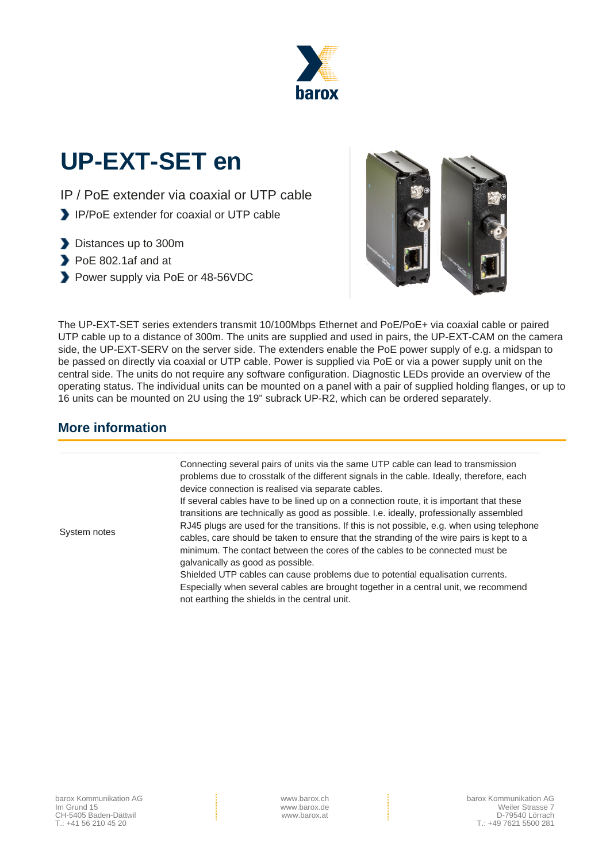

# **UP-EXT-SET en**

- IP / PoE extender via coaxial or UTP cable
- IP/PoE extender for coaxial or UTP cable
- Distances up to 300m
- PoE 802.1af and at
- Power supply via PoE or 48-56VDC



The UP-EXT-SET series extenders transmit 10/100Mbps Ethernet and PoE/PoE+ via coaxial cable or paired UTP cable up to a distance of 300m. The units are supplied and used in pairs, the UP-EXT-CAM on the camera side, the UP-EXT-SERV on the server side. The extenders enable the PoE power supply of e.g. a midspan to be passed on directly via coaxial or UTP cable. Power is supplied via PoE or via a power supply unit on the central side. The units do not require any software configuration. Diagnostic LEDs provide an overview of the operating status. The individual units can be mounted on a panel with a pair of supplied holding flanges, or up to 16 units can be mounted on 2U using the 19" subrack UP-R2, which can be ordered separately.

#### **More information**

| System notes | Connecting several pairs of units via the same UTP cable can lead to transmission<br>problems due to crosstalk of the different signals in the cable. Ideally, therefore, each<br>device connection is realised via separate cables.<br>If several cables have to be lined up on a connection route, it is important that these<br>transitions are technically as good as possible. I.e. ideally, professionally assembled |
|--------------|----------------------------------------------------------------------------------------------------------------------------------------------------------------------------------------------------------------------------------------------------------------------------------------------------------------------------------------------------------------------------------------------------------------------------|
|              | RJ45 plugs are used for the transitions. If this is not possible, e.g. when using telephone<br>cables, care should be taken to ensure that the stranding of the wire pairs is kept to a<br>minimum. The contact between the cores of the cables to be connected must be<br>galvanically as good as possible.                                                                                                               |
|              | Shielded UTP cables can cause problems due to potential equalisation currents.<br>Especially when several cables are brought together in a central unit, we recommend<br>not earthing the shields in the central unit.                                                                                                                                                                                                     |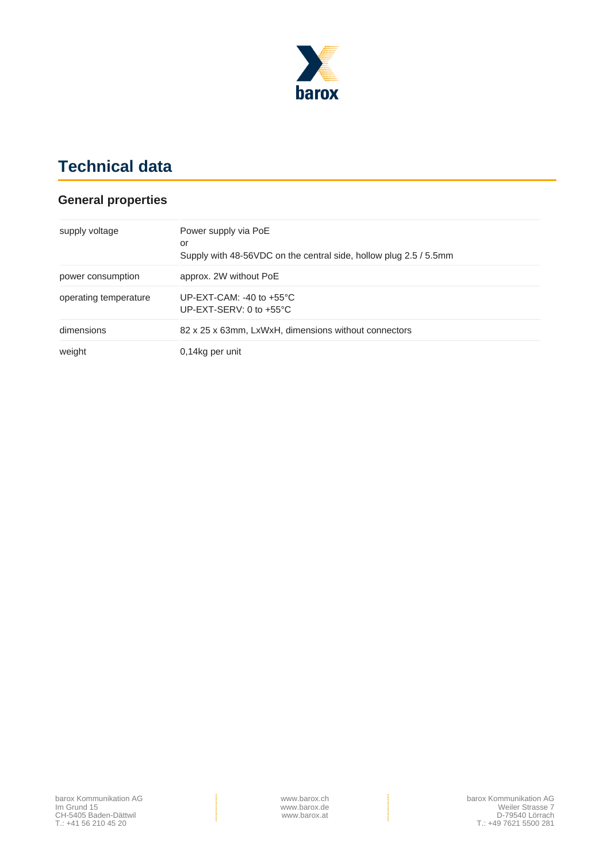

## **Technical data**

#### **General properties**

| supply voltage        | Power supply via PoE<br>or                                              |  |
|-----------------------|-------------------------------------------------------------------------|--|
|                       | Supply with 48-56VDC on the central side, hollow plug 2.5 / 5.5mm       |  |
| power consumption     | approx. 2W without PoE                                                  |  |
| operating temperature | UP-EXT-CAM: -40 to $+55^{\circ}$ C<br>UP-EXT-SERV: 0 to $+55^{\circ}$ C |  |
| dimensions            | 82 x 25 x 63mm, LxWxH, dimensions without connectors                    |  |
| weight                | 0,14kg per unit                                                         |  |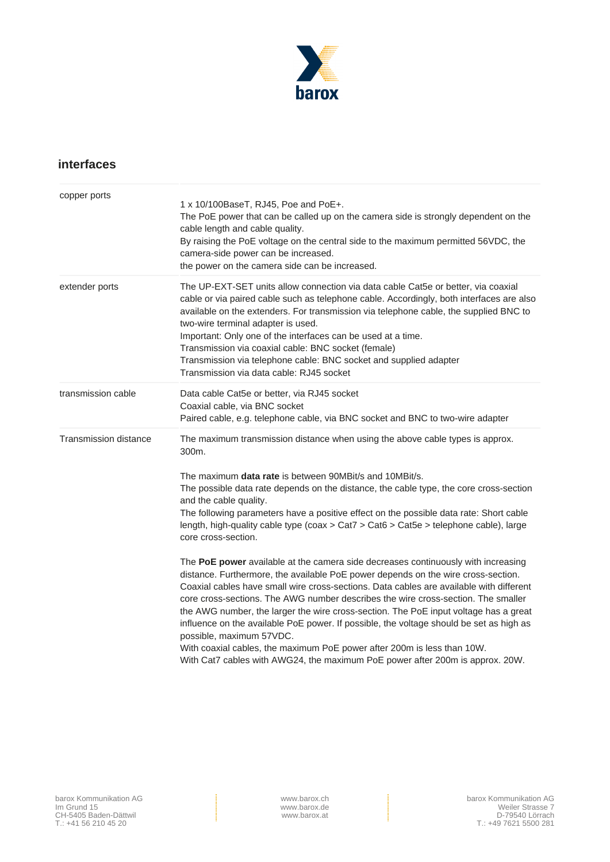

#### **interfaces**

| copper ports          |                                                                                                                                                                                                                                                                                                                                                                                                                                                                                                                                                                                                                                                                                                                                   |  |
|-----------------------|-----------------------------------------------------------------------------------------------------------------------------------------------------------------------------------------------------------------------------------------------------------------------------------------------------------------------------------------------------------------------------------------------------------------------------------------------------------------------------------------------------------------------------------------------------------------------------------------------------------------------------------------------------------------------------------------------------------------------------------|--|
|                       | 1 x 10/100BaseT, RJ45, Poe and PoE+.<br>The PoE power that can be called up on the camera side is strongly dependent on the<br>cable length and cable quality.<br>By raising the PoE voltage on the central side to the maximum permitted 56VDC, the<br>camera-side power can be increased.<br>the power on the camera side can be increased.                                                                                                                                                                                                                                                                                                                                                                                     |  |
| extender ports        | The UP-EXT-SET units allow connection via data cable Cat5e or better, via coaxial<br>cable or via paired cable such as telephone cable. Accordingly, both interfaces are also<br>available on the extenders. For transmission via telephone cable, the supplied BNC to<br>two-wire terminal adapter is used.<br>Important: Only one of the interfaces can be used at a time.<br>Transmission via coaxial cable: BNC socket (female)<br>Transmission via telephone cable: BNC socket and supplied adapter<br>Transmission via data cable: RJ45 socket                                                                                                                                                                              |  |
| transmission cable    | Data cable Cat5e or better, via RJ45 socket<br>Coaxial cable, via BNC socket<br>Paired cable, e.g. telephone cable, via BNC socket and BNC to two-wire adapter                                                                                                                                                                                                                                                                                                                                                                                                                                                                                                                                                                    |  |
| Transmission distance | The maximum transmission distance when using the above cable types is approx.<br>300m.                                                                                                                                                                                                                                                                                                                                                                                                                                                                                                                                                                                                                                            |  |
|                       | The maximum <b>data rate</b> is between 90MBit/s and 10MBit/s.<br>The possible data rate depends on the distance, the cable type, the core cross-section<br>and the cable quality.<br>The following parameters have a positive effect on the possible data rate: Short cable<br>length, high-quality cable type (coax > Cat7 > Cat6 > Cat5e > telephone cable), large<br>core cross-section.                                                                                                                                                                                                                                                                                                                                      |  |
|                       | The PoE power available at the camera side decreases continuously with increasing<br>distance. Furthermore, the available PoE power depends on the wire cross-section.<br>Coaxial cables have small wire cross-sections. Data cables are available with different<br>core cross-sections. The AWG number describes the wire cross-section. The smaller<br>the AWG number, the larger the wire cross-section. The PoE input voltage has a great<br>influence on the available PoE power. If possible, the voltage should be set as high as<br>possible, maximum 57VDC.<br>With coaxial cables, the maximum PoE power after 200m is less than 10W.<br>With Cat7 cables with AWG24, the maximum PoE power after 200m is approx. 20W. |  |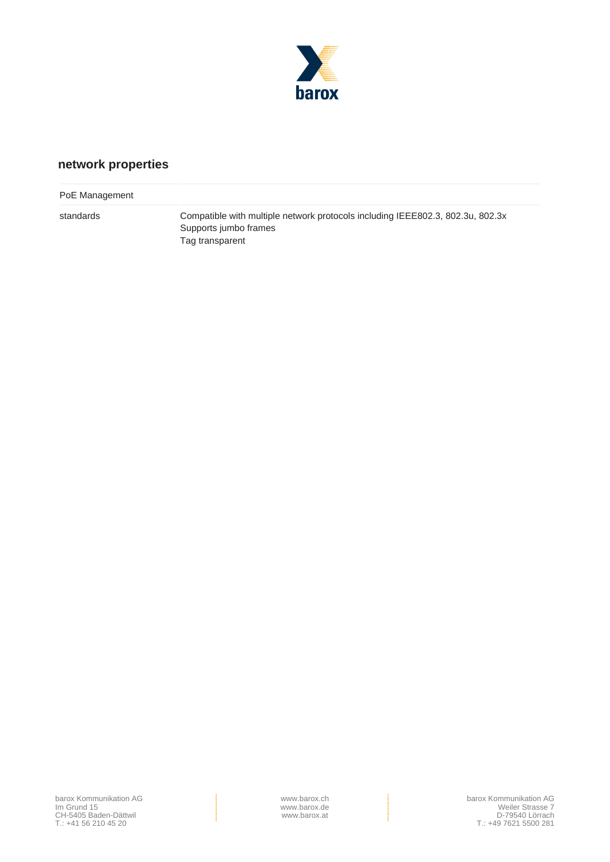

### **network properties**

| PoE Management |                                                                                                                            |
|----------------|----------------------------------------------------------------------------------------------------------------------------|
| standards      | Compatible with multiple network protocols including IEEE802.3, 802.3u, 802.3x<br>Supports jumbo frames<br>Tag transparent |